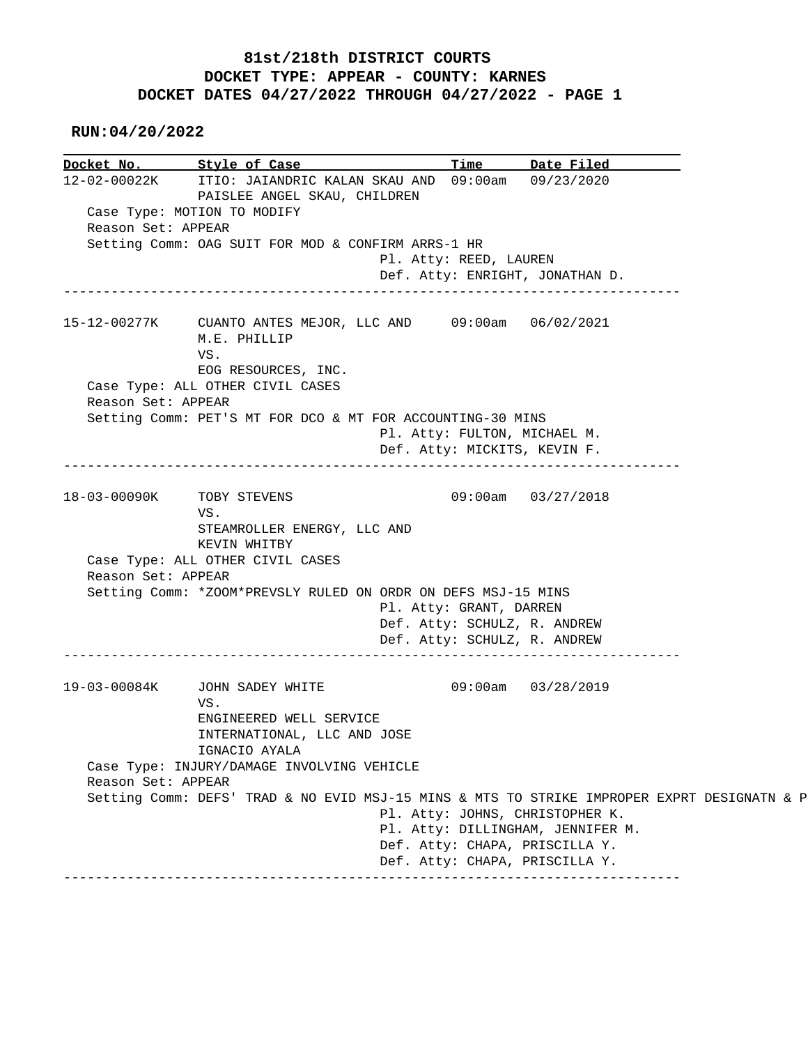## **81st/218th DISTRICT COURTS DOCKET TYPE: APPEAR - COUNTY: KARNES DOCKET DATES 04/27/2022 THROUGH 04/27/2022 - PAGE 1**

 **RUN:04/20/2022**

**Docket No. Style of Case Time Date Filed** 12-02-00022K ITIO: JAIANDRIC KALAN SKAU AND 09:00am 09/23/2020 12-02-00022K ITIO: JAIANDRIC KALAN SKAU AND 09:00am 09/23/2020 PAISLEE ANGEL SKAU, CHILDREN Case Type: MOTION TO MODIFY Reason Set: APPEAR Setting Comm: OAG SUIT FOR MOD & CONFIRM ARRS-1 HR Pl. Atty: REED, LAUREN Def. Atty: ENRIGHT, JONATHAN D. ------------------------------------------------------------------------------ 15-12-00277K CUANTO ANTES MEJOR, LLC AND 09:00am 06/02/2021 M.E. PHILLIP VS. EOG RESOURCES, INC. Case Type: ALL OTHER CIVIL CASES Reason Set: APPEAR Setting Comm: PET'S MT FOR DCO & MT FOR ACCOUNTING-30 MINS Pl. Atty: FULTON, MICHAEL M. Def. Atty: MICKITS, KEVIN F. ------------------------------------------------------------------------------ 18-03-00090K TOBY STEVENS 09:00am 03/27/2018 VS. STEAMROLLER ENERGY, LLC AND KEVIN WHITBY Case Type: ALL OTHER CIVIL CASES Reason Set: APPEAR Setting Comm: \*ZOOM\*PREVSLY RULED ON ORDR ON DEFS MSJ-15 MINS Pl. Atty: GRANT, DARREN Def. Atty: SCHULZ, R. ANDREW Def. Atty: SCHULZ, R. ANDREW ------------------------------------------------------------------------------ 19-03-00084K JOHN SADEY WHITE 09:00am 03/28/2019 VS. ENGINEERED WELL SERVICE INTERNATIONAL, LLC AND JOSE IGNACIO AYALA Case Type: INJURY/DAMAGE INVOLVING VEHICLE Reason Set: APPEAR Setting Comm: DEFS' TRAD & NO EVID MSJ-15 MINS & MTS TO STRIKE IMPROPER EXPRT DESIGNATN & P Pl. Atty: JOHNS, CHRISTOPHER K. Pl. Atty: DILLINGHAM, JENNIFER M. Def. Atty: CHAPA, PRISCILLA Y. Def. Atty: CHAPA, PRISCILLA Y. ------------------------------------------------------------------------------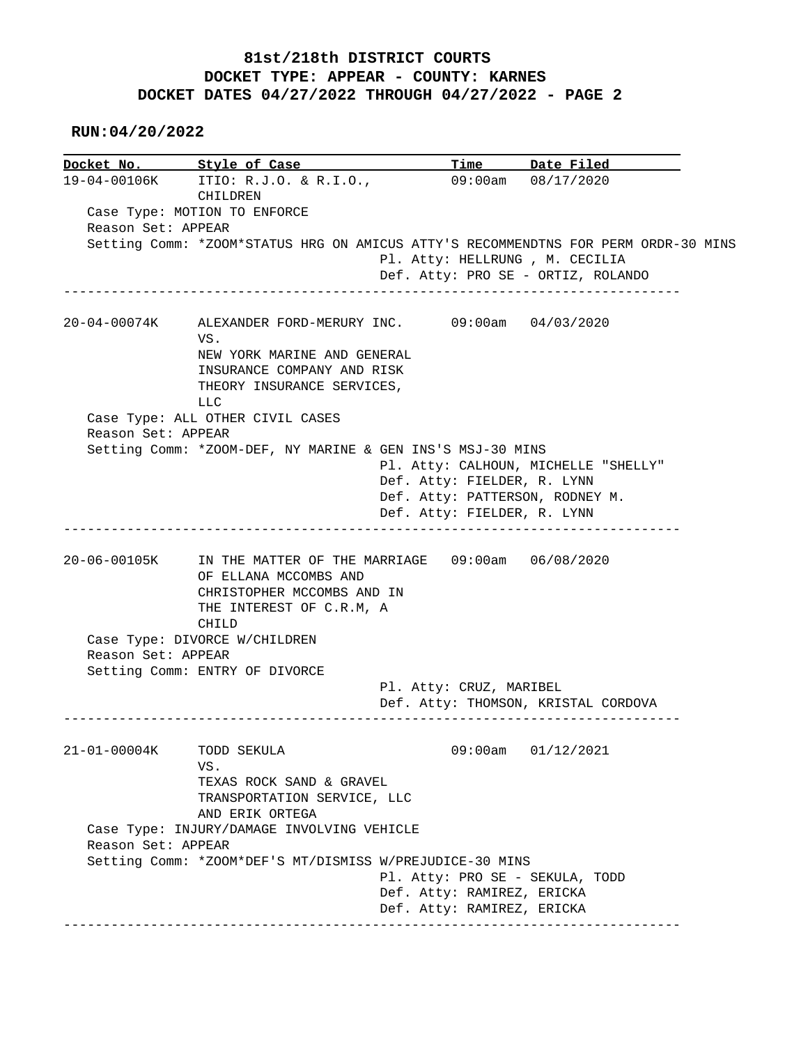## **81st/218th DISTRICT COURTS DOCKET TYPE: APPEAR - COUNTY: KARNES DOCKET DATES 04/27/2022 THROUGH 04/27/2022 - PAGE 2**

 **RUN:04/20/2022**

|                          | Docket No. 5tyle of Case                                                                                                                     |                                                                                               | Time Date Filed                      |
|--------------------------|----------------------------------------------------------------------------------------------------------------------------------------------|-----------------------------------------------------------------------------------------------|--------------------------------------|
|                          | 19-04-00106K ITIO: R.J.O. & R.I.O.,<br>CHILDREN                                                                                              |                                                                                               | 09:00am 08/17/2020                   |
|                          | Case Type: MOTION TO ENFORCE                                                                                                                 |                                                                                               |                                      |
| Reason Set: APPEAR       |                                                                                                                                              |                                                                                               |                                      |
|                          | Setting Comm: *ZOOM*STATUS HRG ON AMICUS ATTY'S RECOMMENDTNS FOR PERM ORDR-30 MINS                                                           | Pl. Atty: HELLRUNG , M. CECILIA                                                               | Def. Atty: PRO SE - ORTIZ, ROLANDO   |
| 20-04-00074K             | ALEXANDER FORD-MERURY INC. 09:00am 04/03/2020<br>VS.                                                                                         |                                                                                               |                                      |
|                          | NEW YORK MARINE AND GENERAL<br>INSURANCE COMPANY AND RISK<br>THEORY INSURANCE SERVICES,<br>LLC                                               |                                                                                               |                                      |
| Reason Set: APPEAR       | Case Type: ALL OTHER CIVIL CASES                                                                                                             |                                                                                               |                                      |
|                          | Setting Comm: *ZOOM-DEF, NY MARINE & GEN INS'S MSJ-30 MINS                                                                                   | Def. Atty: FIELDER, R. LYNN<br>Def. Atty: PATTERSON, RODNEY M.<br>Def. Atty: FIELDER, R. LYNN | Pl. Atty: CALHOUN, MICHELLE "SHELLY" |
|                          |                                                                                                                                              |                                                                                               |                                      |
| 20-06-00105K             | IN THE MATTER OF THE MARRIAGE 09:00am 06/08/2020<br>OF ELLANA MCCOMBS AND<br>CHRISTOPHER MCCOMBS AND IN<br>THE INTEREST OF C.R.M, A<br>CHILD |                                                                                               |                                      |
|                          | Case Type: DIVORCE W/CHILDREN                                                                                                                |                                                                                               |                                      |
| Reason Set: APPEAR       |                                                                                                                                              |                                                                                               |                                      |
|                          | Setting Comm: ENTRY OF DIVORCE                                                                                                               | Pl. Atty: CRUZ, MARIBEL                                                                       | Def. Atty: THOMSON, KRISTAL CORDOVA  |
| 21-01-00004K TODD SEKULA | VS.<br>TEXAS ROCK SAND & GRAVEL<br>TRANSPORTATION SERVICE, LLC                                                                               |                                                                                               | $09:00$ am $01/12/2021$              |
|                          | AND ERIK ORTEGA<br>Case Type: INJURY/DAMAGE INVOLVING VEHICLE                                                                                |                                                                                               |                                      |
| Reason Set: APPEAR       | Setting Comm: *ZOOM*DEF'S MT/DISMISS W/PREJUDICE-30 MINS                                                                                     |                                                                                               |                                      |